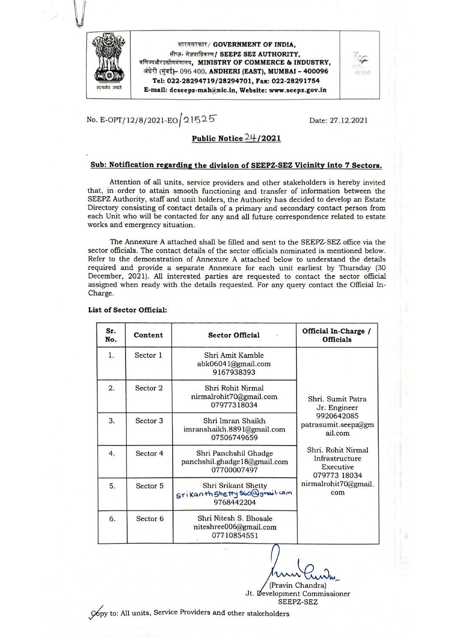

भारतसरकार/ GOVERNMENT OF INDIA, सीप्ज़- सेज़प्राधिकरण/ SEEPZ SEZ AUTHORITY, वणिज्यऔरउद्योगमंत्रालय, MINISTRY OF COMMERCE & INDUSTRY, अंधेरी (मुंबई)- 096 400. ANDHERI (EAST), MUMBAI - 400096 Tel: 022-28294719/28294701. Fax: 022-28291754 E-mail: dcseepz-mah@nic.in, Website: www.seepz.gov.in



No. E-OPT/12/8/2021-EO 21525

Date: 27.12.2021

## Public Notice 24/2021

#### Sub: Notification regarding the division of SEEPZ-SEZ Vicinity into 7 Sectors.

Attention of all units, service providers and other stakeholders is hereby invited that, in order to attain smooth functioning and transfer of information between the SEEPZ Authority, staff and unit holders, the Authority has decided to develop an Estate Directory consisting of contact details of a primary and secondary contact person from each Unit who will be contacted for any and all future correspondence related to estate works and emergency situation.

The Annexure A attached shall be filled and sent to the SEEPZ-SEZ office via the sector officials. The contact details of the sector officials nominated is mentioned below. Refer to the demonstration of Annexure A attached below to understand the details required and provide a separate Annexure for each unit earliest by Thursday (30) December, 2021). All interested parties are requested to contact the sector official assigned when ready with the details requested. For any query contact the Official In-Charge.

| Sr.<br>No. | Content             | <b>Sector Official</b>                                               | Official In-Charge /<br><b>Officials</b>                                                         |  |
|------------|---------------------|----------------------------------------------------------------------|--------------------------------------------------------------------------------------------------|--|
| 1.         | Sector 1            | Shri Amit Kamble<br>abk06041@gmail.com<br>9167938393                 |                                                                                                  |  |
| 2.         | Sector 2            | Shri Rohit Nirmal<br>nirmalrohit70@gmail.com<br>07977318034          | Shri. Sumit Patra<br>Jr. Engineer                                                                |  |
| 3.         | Sector <sub>3</sub> | Shri Imran Shaikh<br>imranshaikh.8891@gmail.com<br>07506749659       | 9920642085<br>patrasumit.seepz@gm<br>ail.com                                                     |  |
| 4.         | Sector <sub>4</sub> | Shri Panchshil Ghadge<br>panchshil.ghadge18@gmail.com<br>07700007497 | Shri. Rohit Nirmal<br>Infrastructure<br>Executive<br>079773 18034<br>nirmalrohit70@gmail.<br>com |  |
| 5.         | Sector <sub>5</sub> | Shri Srikant Shetty<br>srikanth shetty 560@gmail.com<br>9768442204   |                                                                                                  |  |
| 6.         | Sector <sub>6</sub> | Shri Nitesh S. Bhosale<br>niteshree006@gmail.com<br>07710854551      |                                                                                                  |  |

#### List of Sector Official:

(Pravin Chandra) Jt. Development Commissioner SEEPZ-SEZ

Copy to: All units, Service Providers and other stakeholders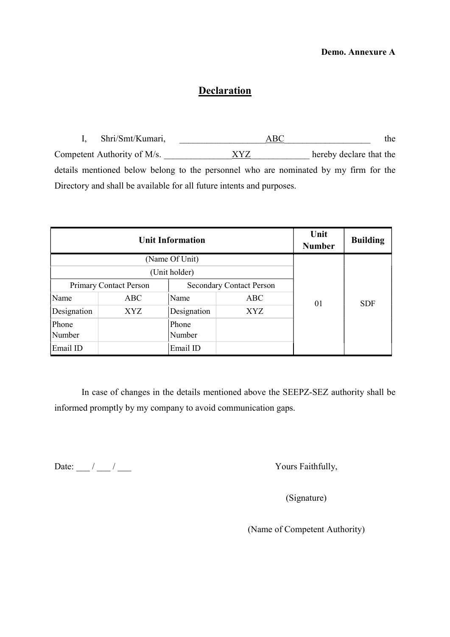## Demo. Annexure A

# **Declaration**

I, Shri/Smt/Kumari,  $\overline{ABC}$  the Competent Authority of M/s. \_\_\_\_\_\_\_\_\_\_\_\_\_\_\_XYZ\_\_\_\_\_\_\_\_\_\_\_\_\_ hereby declare that the details mentioned below belong to the personnel who are nominated by my firm for the Directory and shall be available for all future intents and purposes.

|             | <b>Unit Information</b>       | Unit<br><b>Number</b>           | <b>Building</b> |    |            |
|-------------|-------------------------------|---------------------------------|-----------------|----|------------|
|             | (Name Of Unit)                |                                 |                 |    |            |
|             | (Unit holder)                 |                                 |                 |    |            |
|             | <b>Primary Contact Person</b> | <b>Secondary Contact Person</b> |                 |    |            |
| Name        | <b>ABC</b>                    | Name                            | ABC             | 01 | <b>SDF</b> |
| Designation | <b>XYZ</b>                    | Designation                     | XYZ             |    |            |
| Phone       |                               | Phone                           |                 |    |            |
| Number      |                               | Number                          |                 |    |            |
| Email ID    |                               | Email ID                        |                 |    |            |

In case of changes in the details mentioned above the SEEPZ-SEZ authority shall be informed promptly by my company to avoid communication gaps.

Date:  $\frac{1}{\sqrt{2}}$  / \_\_\_ / \_\_\_ / \_\_\_ Yours Faithfully,

(Signature)

(Name of Competent Authority)